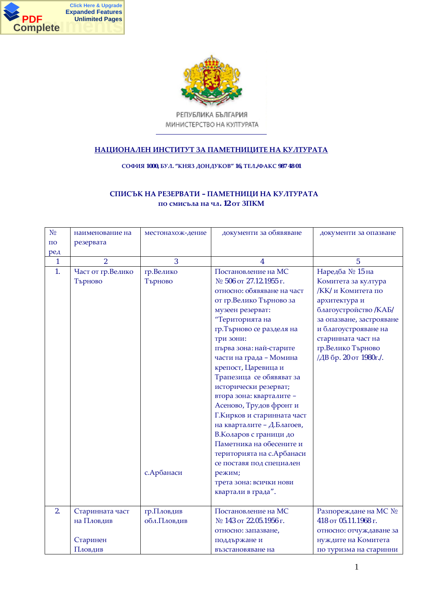



РЕПУБЛИКА БЪЛГАРИЯ МИНИСТЕРСТВО НА КУЛТУРАТА

## НАЦИОНАЛЕН ИНСТИТУТ ЗА ПАМЕТНИЦИТЕ НА КУЛТУРАТА

 $$ 

## СПИСЪК НА РЕЗЕРВАТИ – ПАМЕТНИЦИ НА КУЛТУРАТА  $\overline{12}$  от 3ПКМ

| N <sub>0</sub>     | наименование на   | местонахож-дение | документи за обявяване      | документи за опазване     |
|--------------------|-------------------|------------------|-----------------------------|---------------------------|
| $\Pi$ <sup>O</sup> | резервата         |                  |                             |                           |
| ред                |                   |                  |                             |                           |
| 1                  | $\mathfrak{D}$    | 3                | 4                           | 5                         |
| 1.                 | Част от гр.Велико | гр.Велико        | Постановление на МС         | Наредба № 15 на           |
|                    | Търново           | Търново          | № 506 от 27.12.1955 г.      | Комитета за култура       |
|                    |                   |                  | относно: обявяване на част  | <b>/KK/ и Комитета по</b> |
|                    |                   |                  | от гр.Велико Търново за     | архитектура и             |
|                    |                   |                  | музеен резерват:            | благоустройство /КАБ/     |
|                    |                   |                  | "Територията на             | за опазване, застрояване  |
|                    |                   |                  | гр.Търново се разделя на    | и благоустрояване на      |
|                    |                   |                  | три зони:                   | старинната част на        |
|                    |                   |                  | първа зона: най-старите     | гр.Велико Търново         |
|                    |                   |                  | части на града - Момина     | /ДВ бр. 20 от 1980г./.    |
|                    |                   |                  | крепост, Царевица и         |                           |
|                    |                   |                  | Трапезица се обявяват за    |                           |
|                    |                   |                  | исторически резерват;       |                           |
|                    |                   |                  | втора зона: кварталите -    |                           |
|                    |                   |                  | Асеново, Трудов фронт и     |                           |
|                    |                   |                  | Г. Кирков и старинната част |                           |
|                    |                   |                  | на кварталите - Д.Благоев,  |                           |
|                    |                   |                  | В. Коларов с граници до     |                           |
|                    |                   |                  | Паметника на обесените и    |                           |
|                    |                   |                  | територията на с. Арбанаси  |                           |
|                    |                   |                  | се поставя под специален    |                           |
|                    |                   | с. Арбанаси      | режим;                      |                           |
|                    |                   |                  | трета зона: всички нови     |                           |
|                    |                   |                  | квартали в града".          |                           |
|                    |                   |                  |                             |                           |
| 2.                 | Старинната част   | гр.Пловдив       | Постановление на МС         | Разпореждане на МС №      |
|                    | на Пловдив        | обл.Пловдив      | № 143 от 22.05.1956 г.      | 418 от 05.11.1968 г.      |
|                    |                   |                  | относно: запазване,         | относно: отчуждаване за   |
|                    | Старинен          |                  | поддържане и                | нуждите на Комитета       |
|                    | Пловдив           |                  | възстановяване на           | по туризма на старинни    |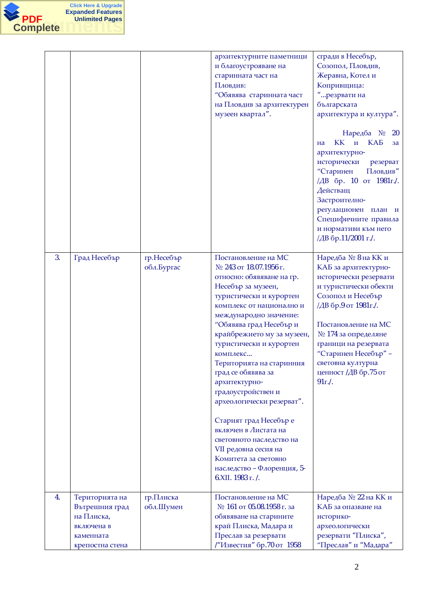

|    |                                                                                              |                          | архитектурните паметници<br>и благоустрояване на<br>старинната част на<br>Пловдив:<br>"Обявява старинната част<br>на Пловдив за архитектурен<br>музеен квартал".                                                                                                                                                                                                                                                                                                                                                                                                                          | сгради в Несебър,<br>Созопол, Пловдив,<br>Жеравна, Котел и<br>Копривщица:<br>"резрвати на<br>българската<br>архитектура и култура".<br>Наредба № 20<br>КК и КАБ<br>на<br>3a<br>архитектурно-<br>исторически резерват<br>"Старинен<br>Пловдив"<br>/ДВ бр. 10 от 1981 г./.<br>Действащ<br>Застроително-<br>регулационен план и<br>Специфичните правила<br>и нормативи към него<br>/ДВ бр.11/2001 г./. |
|----|----------------------------------------------------------------------------------------------|--------------------------|-------------------------------------------------------------------------------------------------------------------------------------------------------------------------------------------------------------------------------------------------------------------------------------------------------------------------------------------------------------------------------------------------------------------------------------------------------------------------------------------------------------------------------------------------------------------------------------------|-----------------------------------------------------------------------------------------------------------------------------------------------------------------------------------------------------------------------------------------------------------------------------------------------------------------------------------------------------------------------------------------------------|
| 3. | Град Несебър                                                                                 | гр.Несебър<br>обл.Бургас | Постановление на МС<br>№ 243 от 18.07.1956 г.<br>относно: обявяване на гр.<br>Несебър за музеен,<br>туристически и курортен<br>комплекс от национално и<br>международно значение:<br>"Обявява град Несебър и<br>крайбрежието му за музеен,<br>туристически и курортен<br>комплекс<br>Територията на старинния<br>град се обявява за<br>архитектурно-<br>градоустройствен и<br>археологически резерват".<br>Старият град Несебър е<br>включен в Листата на<br>световното наследство на<br>VII редовна сесия на<br>Комитета за световно<br>наследство - Флоренция, 5-<br>6. ХІІ. 1983 г. /. | Наредба № 8 на КК и<br>КАБ за архитектурно-<br>исторически резервати<br>и туристически обекти<br>Созопол и Несебър<br>/ДВ бр.9 от 1981 г./.<br>Постановление на МС<br>№ 174 за определяне<br>граници на резервата<br>"Старинен Несебър" -<br>световна културна<br>ценност /ДВ бр.75 от<br>91r.                                                                                                      |
| 4. | Територията на<br>Вътрешния град<br>на Плиска,<br>включена в<br>каменната<br>крепостна стена | гр.Плиска<br>обл.Шумен   | Постановление на МС<br>№ 161 от 05.08.1958 г. за<br>обявяване на старините<br>край Плиска, Мадара и<br>Преслав за резервати<br>/"Известия" бр.70 от 1958                                                                                                                                                                                                                                                                                                                                                                                                                                  | Наредба № 22 на КК и<br>КАБ за опазване на<br>историко-<br>археологически<br>резервати "Плиска",<br>"Преслав" и "Мадара"                                                                                                                                                                                                                                                                            |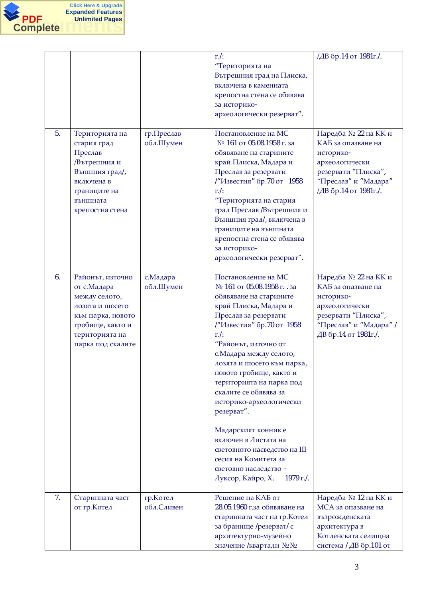

|                |                                                                                                                                                      |                         | $r$ ./:<br>"Територията на<br>Вътрешния град на Плиска,<br>включена в каменната<br>крепостна стена се обявява<br>за историко-<br>археологически резерват".                                                                                                                                                                                                                                                                                                                                                                                        | /ДВ бр.14 от 1981г./.                                                                                                                               |
|----------------|------------------------------------------------------------------------------------------------------------------------------------------------------|-------------------------|---------------------------------------------------------------------------------------------------------------------------------------------------------------------------------------------------------------------------------------------------------------------------------------------------------------------------------------------------------------------------------------------------------------------------------------------------------------------------------------------------------------------------------------------------|-----------------------------------------------------------------------------------------------------------------------------------------------------|
| 5.             | Територията на<br>стария град<br>Преслав<br>/Вътрешния и<br>Външния град/,<br>включена в<br>границите на<br>външната<br>крепостна стена              | гр.Преслав<br>обл.Шумен | Постановление на МС<br>№ 161 от 05.08.1958 г. за<br>обявяване на старините<br>край Плиска, Мадара и<br>Преслав за резервати<br>/"Известия" бр.70 от 1958<br>$r$ ./:<br>"Територията на стария<br>град Преслав / Вътрешния и<br>Външния град/, включена в<br>границите на външната<br>крепостна стена се обявява<br>за историко-<br>археологически резерват".                                                                                                                                                                                      | Наредба № 22 на КК и<br>КАБ за опазване на<br>историко-<br>археологически<br>резервати "Плиска",<br>"Преслав" и "Мадара"<br>/ДВ бр.14 от 1981г./.   |
| 6 <sub>1</sub> | Районът, източно<br>от с. Мадара<br>между селото,<br>лозята и шосето<br>към парка, новото<br>гробище, както и<br>територията на<br>парка под скалите | с. Мадара<br>обл.Шумен  | Постановление на МС<br>№ 161 от 05.08.1958 г. . за<br>обявяване на старините<br>край Плиска, Мадара и<br>Преслав за резервати<br>/"Известия" бр.70 от 1958<br>$r$ ./:<br>"Районът, източно от<br>с. Мадара между селото,<br>лозята и шосето към парка,<br>новото гробище, както и<br>територията на парка под<br>скалите се обявява за<br>историко-археологически<br>резерват".<br>Мадарският конник е<br>включен в Листата на<br>световното насведство на III<br>сесия на Комитета за<br>световно наследство -<br>Луксор, Кайро, Х.<br>1979 г./. | Наредба № 22 на КК и<br>КАБ за опазване на<br>историко-<br>археологически<br>резервати "Плиска",<br>"Преслав" и "Мадара" /<br>ДВ бр.14 от 1981 г./. |
| 7.             | Старинната част<br>от гр. Котел                                                                                                                      | гр. Котел<br>обл.Сливен | Решение на КАБ от<br>28.05.1960 г.за обявяване на<br>старинната част на гр. Котел<br>за бранище /резерват/ с<br>архитектурно-музейно<br>значение /квартали № №                                                                                                                                                                                                                                                                                                                                                                                    | Наредба № 12 на КК и<br>МСА за опазване на<br>възрожденската<br>архитектура в<br>Котленската селищна<br>система / ДВ бр.101 от                      |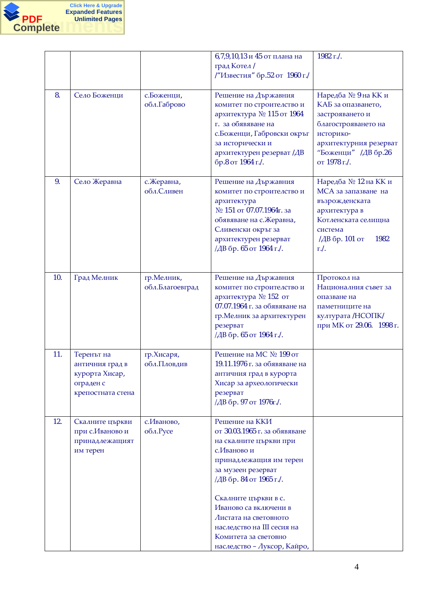

|     |                                                                                   |                               | 6,7,9,10,13 и 45 от плана на<br>град Котел /<br>/"Известия" бр.52 от 1960 г./                                                                                                                                                                                                                                                      | 1982 г./.                                                                                                                                                         |
|-----|-----------------------------------------------------------------------------------|-------------------------------|------------------------------------------------------------------------------------------------------------------------------------------------------------------------------------------------------------------------------------------------------------------------------------------------------------------------------------|-------------------------------------------------------------------------------------------------------------------------------------------------------------------|
| 8.  | Село Боженци                                                                      | с.Боженци,<br>обл.Габрово     | Решение на Държавния<br>комитет по строителство и<br>архитектура № 115 от 1964<br>г. за обявяване на<br>с. Боженци, Габровски окръг<br>за исторически и<br>архитектурен резерват /ДВ<br>бр.8 от 1964 г./.                                                                                                                          | Наредба № 9 на КК и<br>КАБ за опазването,<br>застрояването и<br>благострояването на<br>историко-<br>архитектурния резерват<br>"Боженци" /ДВ бр.26<br>от 1978 г./. |
| 9.  | Село Жеравна                                                                      | с. Жеравна,<br>обл.Сливен     | Решение на Държавния<br>комитет по строителство и<br>архитектура<br>№ 151 от 07.07.1964г. за<br>обявяване на с. Жеравна,<br>Сливенски окръг за<br>архитектурен резерват<br>/ДВ бр. 65 от 1964 г./.                                                                                                                                 | Наредба № 12 на КК и<br>МСА за запазване на<br>възрожденската<br>архитектура в<br>Котленската селищна<br>система<br>/ДВ бр. 101 от<br>1982<br>$\Gamma$ ./.        |
| 10. | Град Мелник                                                                       | гр.Мелник,<br>обл.Благоевград | Решение на Държавния<br>комитет по строителство и<br>архитектура № 152 от<br>07.07.1964 г. за обявяване на<br>гр. Мелник за архитектурен<br>резерват<br>/ДВ бр. 65 от 1964 г./.                                                                                                                                                    | Протокол на<br>Националния съвет за<br>опазване на<br>паметниците на<br>културата /НСОПК/<br>при МК от 29.06. 1998 г.                                             |
| 11. | Теренът на<br>античния град в<br>курорта Хисар,<br>ограден с<br>крепостната стена | гр.Хисаря,<br>обл.Пловдив     | Решение на МС № 199 от<br>19.11.1976 г. за обявяване на<br>античния град в курорта<br>Хисар за археологически<br>резерват<br>/ДВ бр. 97 от 1976г./.                                                                                                                                                                                |                                                                                                                                                                   |
| 12. | Скалните църкви<br>при с.Иваново и<br>принадлежащият<br>им терен                  | с.Иваново,<br>обл.Русе        | Решение на ККИ<br>от 30.03.1965 г. за обявяване<br>на скалните църкви при<br>с.Иваново и<br>принадлежащия им терен<br>за музеен резерват<br>/ДВ бр. 84 от 1965 г./.<br>Скалните църкви в с.<br>Иваново са включени в<br>Листата на световното<br>наследство на III сесия на<br>Комитета за световно<br>наследство - Луксор, Кайро, |                                                                                                                                                                   |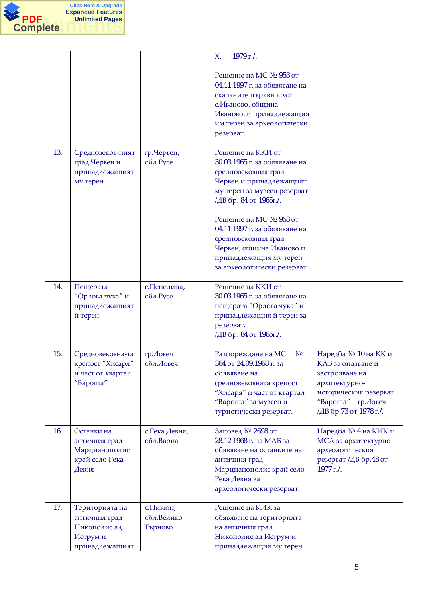

|     |                                                                               |                                    | 1979 г./.<br>$X_{\cdot}$                                                                                                                                                                                                                                                                                                            |                                                                                                                                                         |
|-----|-------------------------------------------------------------------------------|------------------------------------|-------------------------------------------------------------------------------------------------------------------------------------------------------------------------------------------------------------------------------------------------------------------------------------------------------------------------------------|---------------------------------------------------------------------------------------------------------------------------------------------------------|
|     |                                                                               |                                    | Решение на МС № 953 от<br>04.11.1997 г. за обявяване на<br>скаланите църкви край<br>с. Иваново, община<br>Иваново, и принадлежащия<br>им терен за археологически<br>резерват.                                                                                                                                                       |                                                                                                                                                         |
| 13. | Средновеков-ният<br>град Червен и<br>принадлежащият<br>му терен               | гр.Червен,<br>обл.Русе             | Решение на ККИ от<br>30.03.1965 г. за обявяване на<br>средновековния град<br>Червен и принадлежащият<br>му терен за музеен резерват<br>/ДВ бр. 84 от 1965г./.<br>Решение на МС № 953 от<br>04.11.1997 г. за обявяване на<br>средновековния град<br>Червен, община Иваново и<br>принадлежащия му терен<br>за археологически резерват |                                                                                                                                                         |
| 14. | Пещерата<br>"Орлова чука" и<br>принадлежащият<br>й терен                      | с. Пепелина,<br>обл.Русе           | Решение на ККИ от<br>30.03.1965 г. за обявяване на<br>пещерата "Орлова чука" и<br>принадлежащия й терен за<br>резерват.<br>/ДВ бр. 84 от 1965г./.                                                                                                                                                                                   |                                                                                                                                                         |
| 15. | Средновековна-та<br>крепост "Хисаря"<br>и част от квартал<br>"Вароша"         | гр. Ловеч<br>обл. Ловеч            | Разпореждане на МС<br>N <sub>0</sub><br>364 от 24.09.1968 г. за<br>обявяване на<br>средновековната крепост<br>"Хисаря" и част от квартал<br>"Вароша" за музеен и<br>туристически резерват.                                                                                                                                          | Наредба № 10 на КК и<br>КАБ за опазване и<br>застрояване на<br>архитектурно-<br>историческия резерват<br>"Вароша" - гр. Ловеч<br>/ДВ бр.73 от 1978 г./. |
| 16. | Останки на<br>античния град<br>Марцианополис<br>край село Река<br>Девня       | с. Река Девня,<br>обл.Варна        | Заповед № 2698 от<br>28.12.1968 г. на МАБ за<br>обявяване на останките на<br>античния град<br>Марцианополис край село<br>Река Девня за<br>археологически резерват.                                                                                                                                                                  | Наредба № 4 на КИК и<br>МСА за архитектурно-<br>археологическия<br>резерват /ДВ бр.48 от<br>$1977$ r./.                                                 |
| 17. | Територията на<br>античния град<br>Никополис ад<br>Иструм и<br>принадлежащият | с. Никюп,<br>обл.Велико<br>Търново | Решение на КИК за<br>обявяване на територията<br>на античния град<br>Никополис ад Иструм и<br>принадлежащия му терен                                                                                                                                                                                                                |                                                                                                                                                         |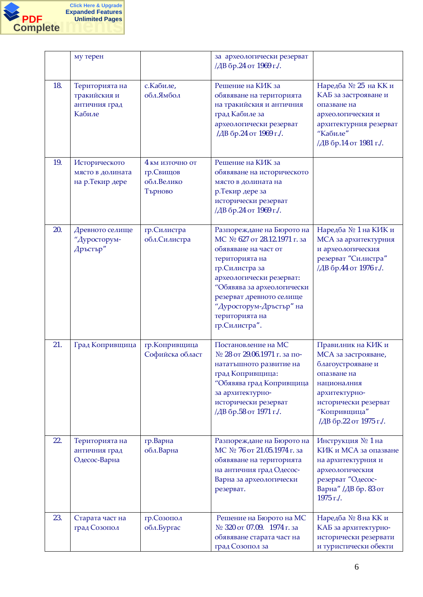

|     | му терен                                                  |                                                        | за археологически резерват<br>/ДВ бр.24 от 1969 г./.                                                                                                                                                                                                                      |                                                                                                                                                                                 |
|-----|-----------------------------------------------------------|--------------------------------------------------------|---------------------------------------------------------------------------------------------------------------------------------------------------------------------------------------------------------------------------------------------------------------------------|---------------------------------------------------------------------------------------------------------------------------------------------------------------------------------|
| 18. | Територията на<br>тракийския и<br>античния град<br>Кабиле | с. Кабиле,<br>обл.Ямбол                                | Решение на КИК за<br>обявяване на територията<br>на тракийския и античния<br>град Кабиле за<br>археологически резерват<br>/ДВ бр.24 от 1969 г./.                                                                                                                          | Наредба № 25 на КК и<br>КАБ за застрояване и<br>опазване на<br>археологическия и<br>архитектурния резерват<br>"Кабиле"<br>/ДВ бр.14 от 1981 г./.                                |
| 19. | Историческото<br>място в долината<br>на р.Текир дере      | 4 км източно от<br>гр. Свищов<br>обл.Велико<br>Търново | Решение на КИК за<br>обявяване на историческото<br>място в долината на<br>р. Текир дере за<br>исторически резерват<br>/ДВ бр.24 от 1969 г./.                                                                                                                              |                                                                                                                                                                                 |
| 20. | Древното селище<br>"Дуросторум-<br>Дръстър"               | гр.Силистра<br>обл.Силистра                            | Разпореждане на Бюрото на<br>МС № 627 от 28.12.1971 г. за<br>обявяване на част от<br>територията на<br>гр.Силистра за<br>археологически резерват:<br>"Обявява за археологически<br>резерват древното селище<br>"Дуросторум-Дръстър" на<br>територията на<br>гр.Силистра". | Наредба № 1 на КИК и<br><b>MCA</b> за архитектурния<br>и археологическия<br>резерват "Силистра"<br>/ДВ бр.44 от 1976 г./.                                                       |
| 21. | Град Копривщица                                           | гр. Копривщица<br>Софийска област                      | Постановление на МС<br>№ 28 от 29.06.1971 г. за по-<br>нататъшното развитие на<br>град Копривщица:<br>"Обявява град Копривщица<br>за архитектурно-<br>исторически резерват<br>/ДВ бр.58 от 1971 г./.                                                                      | Правилник на КИК и<br>МСА за застрояване,<br>благоустрояване и<br>опазване на<br>националния<br>архитектурно-<br>исторически резерват<br>"Копривщица"<br>/ДВ бр.22 от 1975 г./. |
| 22. | Територията на<br>античния град<br>Одесос-Варна           | гр.Варна<br>обл.Варна                                  | Разпореждане на Бюрото на<br>МС № 76 от 21.05.1974 г. за<br>обявяване на територията<br>на античния град Одесос-<br>Варна за археологически<br>резерват.                                                                                                                  | Инструкция № 1 на<br>КИК и МСА за опазване<br>на архитектурния и<br>археологическия<br>резерват "Одесос-<br>Варна" /ДВ бр. 83 от<br>1975 г./.                                   |
| 23. | Старата част на<br>град Созопол                           | гр. Созопол<br>обл.Бургас                              | Решение на Бюрото на МС<br>№ 320 от 07.09. 1974 г. за<br>обявяване старата част на<br>град Созопол за                                                                                                                                                                     | Наредба № 8 на КК и<br>КАБ за архитектурно-<br>исторически резервати<br>и туристически обекти                                                                                   |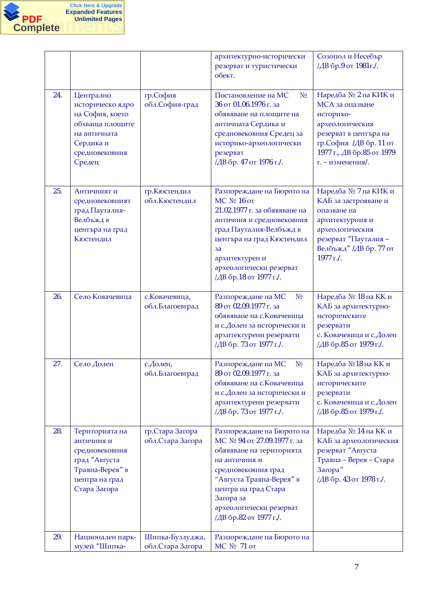

|     |                                                                                                                              |                                      | архитектурно-исторически<br>резерват и туристически<br>обект.                                                                                                                                                                                      | Созопол и Несебър<br>/ДВ бр.9 от 1981 г./.                                                                                                                                  |
|-----|------------------------------------------------------------------------------------------------------------------------------|--------------------------------------|----------------------------------------------------------------------------------------------------------------------------------------------------------------------------------------------------------------------------------------------------|-----------------------------------------------------------------------------------------------------------------------------------------------------------------------------|
| 24. | Централно<br>историческо ядро<br>на София, което<br>обхваща площите<br>на античната<br>Сердика и<br>средновековния<br>Средец | гр.София<br>обл.София-град           | Постановление на МС<br>N <sub>0</sub><br>36 от 01.06.1976 г. за<br>обявяване на площите на<br>античната Сердика и<br>средновековния Средец за<br>историко-археологически<br>резерват<br>/ДВ бр. 47 от 1976 г./.                                    | Наредба № 2 на КИК и<br>МСА за опазване<br>историко-<br>археологическия<br>резерват в центъра на<br>гр.София /ДВ бр. 11 от<br>1977 г., ДВ бр.85 от 1979<br>г. - изменения/. |
| 25. | Античният и<br>средновековният<br>град Пауталия-<br>Велбъжд в<br>центъра на град<br>Кюстендил                                | гр.Кюстендил<br>обл. Кюстендил       | Разпореждане на Бюрото на<br>МС № 16 от<br>21.02.1977 г. за обявяване на<br>античния и средновековния<br>град Пауталия-Велбъжд в<br>центъра на град Кюстендил<br>3a<br>архитектурен и<br>археологически резерват<br>/ДВ бр.18 от 1977 г./.         | Наредба № 7 на КИК и<br>КАБ за застрояване и<br>опазване на<br>архитектурния и<br>археологическия<br>резерват "Пауталия -<br>Велбъжд" /ДВ бр. 77 от<br>1977 г./.            |
| 26. | Село Ковачевица                                                                                                              | с. Ковачевица,<br>обл.Благоевград    | Разпореждане на МС<br>N <sub>0</sub><br>89 от 02.09.1977 г. за<br>обявяване на с. Ковачевица<br>и с.Долен за исторически и<br>архитектурени резервати<br>/ДВ бр. 73 от 1977 г./.                                                                   | Наредба № 18 на КК и<br>КАБ за архитектурно-<br>историческите<br>резервати<br>с. Ковачевица и с. Долен<br>/ДВ бр.85 от 1979 г./.                                            |
| 27. | Село Долен                                                                                                                   | с. Долен,<br>обл.Благоевград         | Разпореждане на МС<br>N <sub>0</sub><br>89 от 02.09.1977 г. за<br>обявяване на с. Ковачевица<br>и с.Долен за исторически и<br>архитектурени резервати<br>/ДВ бр. 73 от 1977 г./.                                                                   | Наредба №18 на КК и<br>КАБ за архитектурно-<br>историческите<br>резервати<br>с. Ковачевица и с.Долен<br>/ДВ бр.85 от 1979 г./.                                              |
| 28. | Територията на<br>античния и<br>средновековния<br>град "Августа<br>Траяна-Верея" в<br>центра на град<br>Стара Загора         | гр. Стара Загора<br>обл.Стара Загора | Разпореждане на Бюрото на<br>МС № 94 от 27.09.1977 г. за<br>обявяване на територията<br>на античния и<br>средновековния град<br>"Августа Траяна-Верея" в<br>центра на град Стара<br>Загора за<br>археологически резерват<br>/ДВ бр.82 от 1977 г./. | Наредба № 14 на КК и<br>КАБ за археологическия<br>резерват "Августа<br>Траяна - Верея - Стара<br>Загора"<br>/ДВ бр. 43 от 1978 г./.                                         |
| 29. | Национален парк-<br>музей "Шипка-                                                                                            | Шипка-Бузлуджа,<br>обл.Стара Загора  | Разпореждане на Бюрото на<br>МС № 71 от                                                                                                                                                                                                            |                                                                                                                                                                             |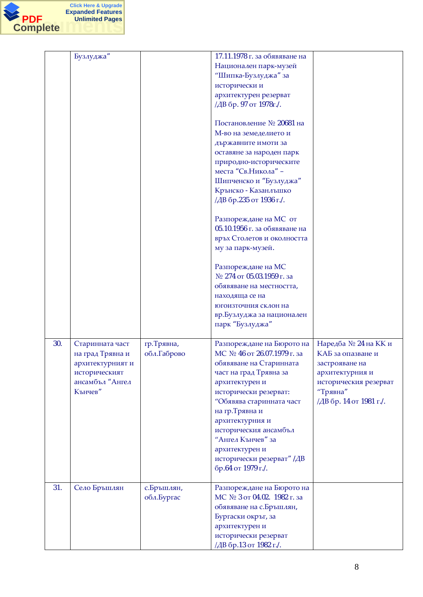

|     | Бузлуджа"                                                                           |                          | 17.11.1978 г. за обявяване на<br>Национален парк-музей<br>"Шипка-Бузлуджа" за<br>исторически и<br>архитектурен резерват<br>/ДВ бр. 97 от 1978г./.<br>Постановление № 20681 на<br>М-во на земеделието и<br>държавните имоти за<br>оставяне за народен парк<br>природно-историческите<br>места "Св. Никола" -<br>Шипченско и "Бузлуджа"<br>Крънско - Казанлъшко<br>/ДВ бр.235 от 1936 г./.<br>Разпореждане на МС от |                                                                                                                        |
|-----|-------------------------------------------------------------------------------------|--------------------------|-------------------------------------------------------------------------------------------------------------------------------------------------------------------------------------------------------------------------------------------------------------------------------------------------------------------------------------------------------------------------------------------------------------------|------------------------------------------------------------------------------------------------------------------------|
| 30. | Старинната част                                                                     | гр. Трявна,              | 05.10.1956 г. за обявяване на<br>връх Столетов и околността<br>му за парк-музей.<br>Разпореждане на МС<br>№ 274 от 05.03.1959 г. за<br>обявяване на местността,<br>находяща се на<br>югоизточния склон на<br>вр.Бузлуджа за национален<br>парк "Бузлуджа"<br>Разпореждане на Бюрото на                                                                                                                            | Наредба № 24 на КК и                                                                                                   |
|     | на град Трявна и<br>архитектурният и<br>историческият<br>ансамбъл "Ангел<br>Кънчев" | обл.Габрово              | МС № 46 от 26.07.1979 г. за<br>обявяване на Старинната<br>част на град Трявна за<br>архитектурен и<br>исторически резерват:<br>"Обявява старинната част<br>на гр.Трявна и<br>архитектурния и<br>историческия ансамбъл<br>"Ангел Кънчев" за<br>архитектурен и<br>исторически резерват" /ДВ<br>бр.64 от 1979 г./.                                                                                                   | КАБ за опазване и<br>застрояване на<br>архитектурния и<br>историческия резерват<br>"Трявна"<br>/ДВ бр. 14 от 1981 г./. |
| 31. | Село Бръшлян                                                                        | с.Бръшлян,<br>обл.Бургас | Разпореждане на Бюрото на<br>МС № 3 от 04.02. 1982 г. за<br>обявяване на с.Бръшлян,<br>Бургаски окръг, за<br>архитектурен и<br>исторически резерват<br>/ДВ бр.13 от 1982 г./.                                                                                                                                                                                                                                     |                                                                                                                        |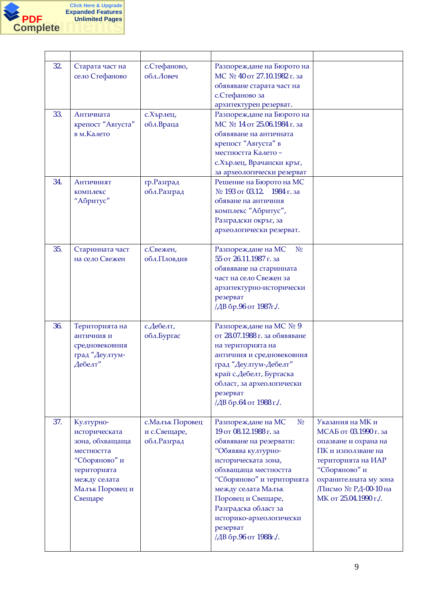

| 32. | Старата част на<br>село Стефаново                                                                                                         | с.Стефаново,<br>обл. Ловеч                       | Разпореждане на Бюрото на<br>МС № 40 от 27.10.1982 г. за<br>обявяване старата част на<br>с.Стефаново за<br>архитектурен резерват.                                                                                                                                                                                               |                                                                                                                                                                                                          |
|-----|-------------------------------------------------------------------------------------------------------------------------------------------|--------------------------------------------------|---------------------------------------------------------------------------------------------------------------------------------------------------------------------------------------------------------------------------------------------------------------------------------------------------------------------------------|----------------------------------------------------------------------------------------------------------------------------------------------------------------------------------------------------------|
| 33. | Античната<br>крепост "Августа"<br>в м.Калето                                                                                              | с. Хърлец,<br>обл.Враца                          | Разпореждане на Бюрото на<br>МС № 14 от 25.06.1984 г. за<br>обявяване на античната<br>крепост "Августа" в<br>местността Калето-<br>с. Хърлец, Врачански кръг,<br>за археологически резерват                                                                                                                                     |                                                                                                                                                                                                          |
| 34. | Античният<br><b>КОМПЛЕКС</b><br>"Абритус"                                                                                                 | гр. Разград<br>обл. Разград                      | Решение на Бюрото на МС<br>№ 193 от 03.12. 1984 г. за<br>обяване на античния<br>комплекс "Абритус",<br>Разградски окръг, за<br>археологически резерват.                                                                                                                                                                         |                                                                                                                                                                                                          |
| 35. | Старинната част<br>на село Свежен                                                                                                         | с.Свежен,<br>обл.Пловдив                         | Разпореждане на МС<br>N <sub>0</sub><br>55 от 26.11.1987 г. за<br>обявяване на старинната<br>част на село Свежен за<br>архитектурно-исторически<br>резерват<br>/ДВ бр.96 от 1987г./.                                                                                                                                            |                                                                                                                                                                                                          |
| 36. | Територията на<br>античния и<br>средновековния<br>град "Деултум-<br>Дебелт"                                                               | с.Дебелт,<br>обл.Бургас                          | Разпореждане на МС № 9<br>от 28.07.1988 г. за обявяване<br>на територията на<br>античния и средновековния<br>град "Деултум-Дебелт"<br>край с.Дебелт, Бургаска<br>област, за археологически<br>резерват<br>/ДВ бр.64 от 1988 г./.                                                                                                |                                                                                                                                                                                                          |
| 37. | Културно-<br>историческата<br>зона, обхващаща<br>местността<br>"Сборяново" и<br>територията<br>между селата<br>Малък Поровец и<br>Свещаре | с. Малък Поровец<br>и с.Свещаре,<br>обл. Разград | Разпореждане на МС<br>N <sub>0</sub><br>19 от 08.12.1988 г. за<br>обявяване на резервати:<br>"Обявява културно-<br>историческата зона,<br>обхващаща местността<br>"Сборяново" и територията<br>между селата Малък<br>Поровец и Свещаре,<br>Разградска област за<br>историко-археологически<br>резерват<br>/ДВ бр.96 от 1988г./. | Указания на МК и<br>МСАБ от 03.1990 г. за<br>опазване и охрана на<br>ПК и използване на<br>територията на ИАР<br>"Сборяново" и<br>охранителната му зона<br>/Писмо № РД-00-10 на<br>МК от 25.04.1990 г./. |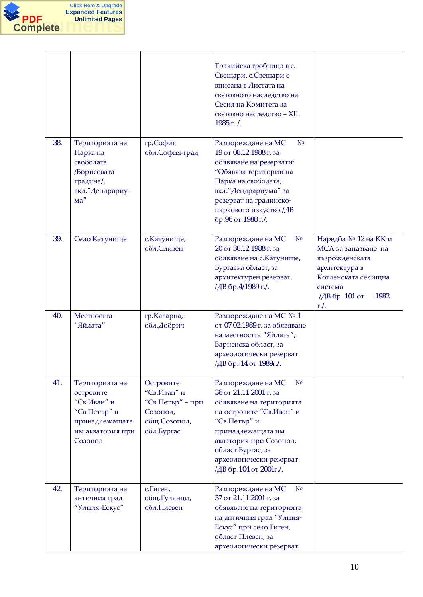

|     |                                                                                                             |                                                                                         | Тракийска гробница в с.<br>Свещари, с.Свещари е<br>вписана в Листата на<br>световното наследство на<br>Сесия на Комитета за<br>световно наследство - XII.<br>1985 г. /.                                                                                         |                                                                                                                                                    |
|-----|-------------------------------------------------------------------------------------------------------------|-----------------------------------------------------------------------------------------|-----------------------------------------------------------------------------------------------------------------------------------------------------------------------------------------------------------------------------------------------------------------|----------------------------------------------------------------------------------------------------------------------------------------------------|
| 38. | Територията на<br>Парка на<br>свободата<br>Борисовата<br>градина/,<br>вкл." Дендрариу-<br>ma''              | гр.София<br>обл.София-град                                                              | Разпореждане на МС<br>N <sub>0</sub><br>19 от 08.12.1988 г. за<br>обявяване на резервати:<br>"Обявява територии на<br>Парка на свободата,<br>вкл." Дендрариума" за<br>резерват на градинско-<br>парковото изкуство /ДВ<br>бр.96 от 1988 г./.                    |                                                                                                                                                    |
| 39. | Село Катунище                                                                                               | с. Катунище,<br>обл.Сливен                                                              | Разпореждане на МС<br>N <sub>0</sub><br>20 от 30.12.1988 г. за<br>обявяване на с. Катунище,<br>Бургаска област, за<br>архитектурен резерват.<br>/ДВ бр.4/1989 г./.                                                                                              | Наредба № 12 на КК и<br>МСА за запазване на<br>възрожденската<br>архитектура в<br>Котленската селищна<br>система<br>1982<br>/ДВ бр. 101 от<br>r.l. |
| 40. | Местността<br>"Яйлата"                                                                                      | гр. Каварна,<br>обл.Добрич                                                              | Разпореждане на МС № 1<br>от 07.02.1989 г. за обявяване<br>на местността "Яйлата",<br>Варненска област, за<br>археологически резерват<br>/ДВ бр. 14 от 1989г./.                                                                                                 |                                                                                                                                                    |
| 41. | Територията на<br>островите<br>"Св.Иван" и<br>"Св.Петър" и<br>принадлежащата<br>им акватория при<br>Созопол | Островите<br>"Св.Иван" и<br>"Св.Петър" – при<br>Созопол,<br>общ. Созопол,<br>обл.Бургас | Разпореждане на МС<br>N <sub>0</sub><br>36 от 21.11.2001 г. за<br>обявяване на територията<br>на островите "Св.Иван" и<br>"Св.Петър" и<br>принадлежащата им<br>акватория при Созопол,<br>област Бургас, за<br>археологически резерват<br>/ДВ бр.104 от 2001г./. |                                                                                                                                                    |
| 42. | Територията на<br>античния град<br>"Улпия-Ескус"                                                            | с.Гиген,<br>общ.Гулянци,<br>обл.Плевен                                                  | Разпореждане на МС<br>N <sub>2</sub><br>37 от 21.11.2001 г. за<br>обявяване на територията<br>на античния град "Улпия-<br>Ескус" при село Гиген,<br>област Плевен, за<br>археологически резерват                                                                |                                                                                                                                                    |